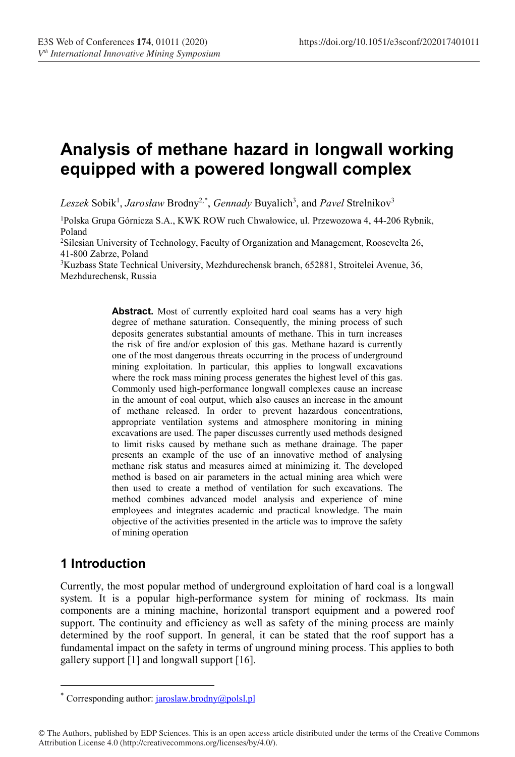# Analysis of methane hazard in longwall working equipped with a powered longwall complex

Leszek Sobik<sup>1</sup>, Jarosław Brodny<sup>2,\*</sup>, Gennady Buyalich<sup>3</sup>, and Pavel Strelnikov<sup>3</sup>

1 Polska Grupa Górnicza S.A., KWK ROW ruch Chwałowice, ul. Przewozowa 4, 44-206 Rybnik, Poland

2 Silesian University of Technology, Faculty of Organization and Management, Roosevelta 26, 41-800 Zabrze, Poland

3 Kuzbass State Technical University, Mezhdurechensk branch, 652881, Stroitelei Avenue, 36, Mezhdurechensk, Russia

> Abstract. Most of currently exploited hard coal seams has a very high degree of methane saturation. Consequently, the mining process of such deposits generates substantial amounts of methane. This in turn increases the risk of fire and/or explosion of this gas. Methane hazard is currently one of the most dangerous threats occurring in the process of underground mining exploitation. In particular, this applies to longwall excavations where the rock mass mining process generates the highest level of this gas. Commonly used high-performance longwall complexes cause an increase in the amount of coal output, which also causes an increase in the amount of methane released. In order to prevent hazardous concentrations, appropriate ventilation systems and atmosphere monitoring in mining excavations are used. The paper discusses currently used methods designed to limit risks caused by methane such as methane drainage. The paper presents an example of the use of an innovative method of analysing methane risk status and measures aimed at minimizing it. The developed method is based on air parameters in the actual mining area which were then used to create a method of ventilation for such excavations. The method combines advanced model analysis and experience of mine employees and integrates academic and practical knowledge. The main objective of the activities presented in the article was to improve the safety of mining operation

## 1 Introduction

<u>.</u>

Currently, the most popular method of underground exploitation of hard coal is a longwall system. It is a popular high-performance system for mining of rockmass. Its main components are a mining machine, horizontal transport equipment and a powered roof support. The continuity and efficiency as well as safety of the mining process are mainly determined by the roof support. In general, it can be stated that the roof support has a fundamental impact on the safety in terms of unground mining process. This applies to both gallery support [1] and longwall support [16].

<sup>\*</sup> Corresponding author:  $jaroslaw.brodny@polsl.pl$ 

<sup>©</sup> The Authors, published by EDP Sciences. This is an open access article distributed under the terms of the Creative Commons Attribution License 4.0 (http://creativecommons.org/licenses/by/4.0/).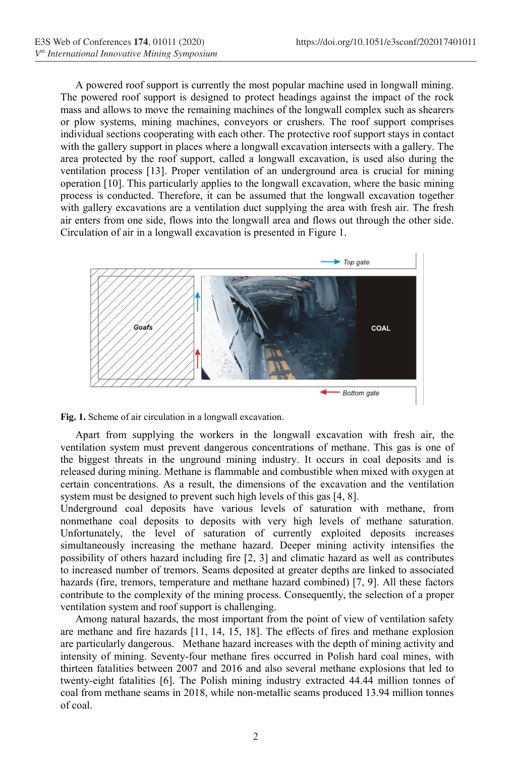A powered roof support is currently the most popular machine used in longwall mining. The powered roof support is designed to protect headings against the impact of the rock mass and allows to move the remaining machines of the longwall complex such as shearers or plow systems, mining machines, conveyors or crushers. The roof support comprises individual sections cooperating with each other. The protective roof support stays in contact with the gallery support in places where a longwall excavation intersects with a gallery. The area protected by the roof support, called a longwall excavation, is used also during the ventilation process [13]. Proper ventilation of an underground area is crucial for mining operation [10]. This particularly applies to the longwall excavation, where the basic mining process is conducted. Therefore, it can be assumed that the longwall excavation together with gallery excavations are a ventilation duct supplying the area with fresh air. The fresh air enters from one side, flows into the longwall area and flows out through the other side. Circulation of air in a longwall excavation is presented in Figure 1.



Fig. 1. Scheme of air circulation in a longwall excavation.

Apart from supplying the workers in the longwall excavation with fresh air, the ventilation system must prevent dangerous concentrations of methane. This gas is one of the biggest threats in the unground mining industry. It occurs in coal deposits and is released during mining. Methane is flammable and combustible when mixed with oxygen at certain concentrations. As a result, the dimensions of the excavation and the ventilation system must be designed to prevent such high levels of this gas [4, 8].

Underground coal deposits have various levels of saturation with methane, from nonmethane coal deposits to deposits with very high levels of methane saturation. Unfortunately, the level of saturation of currently exploited deposits increases simultaneously increasing the methane hazard. Deeper mining activity intensifies the possibility of others hazard including fire [2, 3] and climatic hazard as well as contributes to increased number of tremors. Seams deposited at greater depths are linked to associated hazards (fire, tremors, temperature and methane hazard combined) [7, 9]. All these factors contribute to the complexity of the mining process. Consequently, the selection of a proper ventilation system and roof support is challenging.

Among natural hazards, the most important from the point of view of ventilation safety are methane and fire hazards [11, 14, 15, 18]. The effects of fires and methane explosion are particularly dangerous. Methane hazard increases with the depth of mining activity and intensity of mining. Seventy-four methane fires occurred in Polish hard coal mines, with thirteen fatalities between 2007 and 2016 and also several methane explosions that led to twenty-eight fatalities [6]. The Polish mining industry extracted 44.44 million tonnes of coal from methane seams in 2018, while non-metallic seams produced 13.94 million tonnes of coal.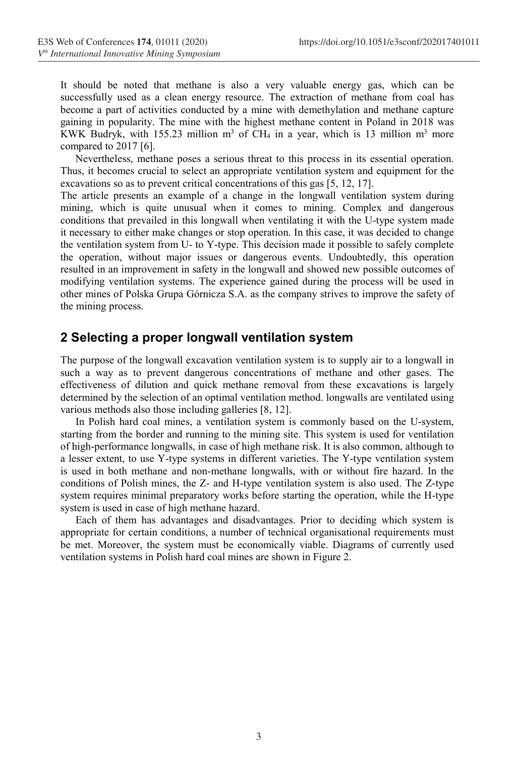It should be noted that methane is also a very valuable energy gas, which can be successfully used as a clean energy resource. The extraction of methane from coal has become a part of activities conducted by a mine with demethylation and methane capture gaining in popularity. The mine with the highest methane content in Poland in 2018 was KWK Budryk, with 155.23 million  $m^3$  of CH<sub>4</sub> in a year, which is 13 million  $m^3$  more compared to 2017 [6].

Nevertheless, methane poses a serious threat to this process in its essential operation. Thus, it becomes crucial to select an appropriate ventilation system and equipment for the excavations so as to prevent critical concentrations of this gas [5, 12, 17].

The article presents an example of a change in the longwall ventilation system during mining, which is quite unusual when it comes to mining. Complex and dangerous conditions that prevailed in this longwall when ventilating it with the U-type system made it necessary to either make changes or stop operation. In this case, it was decided to change the ventilation system from U- to Y-type. This decision made it possible to safely complete the operation, without major issues or dangerous events. Undoubtedly, this operation resulted in an improvement in safety in the longwall and showed new possible outcomes of modifying ventilation systems. The experience gained during the process will be used in other mines of Polska Grupa Górnicza S.A. as the company strives to improve the safety of the mining process.

#### 2 Selecting a proper longwall ventilation system

The purpose of the longwall excavation ventilation system is to supply air to a longwall in such a way as to prevent dangerous concentrations of methane and other gases. The effectiveness of dilution and quick methane removal from these excavations is largely determined by the selection of an optimal ventilation method. longwalls are ventilated using various methods also those including galleries [8, 12].

In Polish hard coal mines, a ventilation system is commonly based on the U-system, starting from the border and running to the mining site. This system is used for ventilation of high-performance longwalls, in case of high methane risk. It is also common, although to a lesser extent, to use Y-type systems in different varieties. The Y-type ventilation system is used in both methane and non-methane longwalls, with or without fire hazard. In the conditions of Polish mines, the Z- and H-type ventilation system is also used. The Z-type system requires minimal preparatory works before starting the operation, while the H-type system is used in case of high methane hazard.

Each of them has advantages and disadvantages. Prior to deciding which system is appropriate for certain conditions, a number of technical organisational requirements must be met. Moreover, the system must be economically viable. Diagrams of currently used ventilation systems in Polish hard coal mines are shown in Figure 2.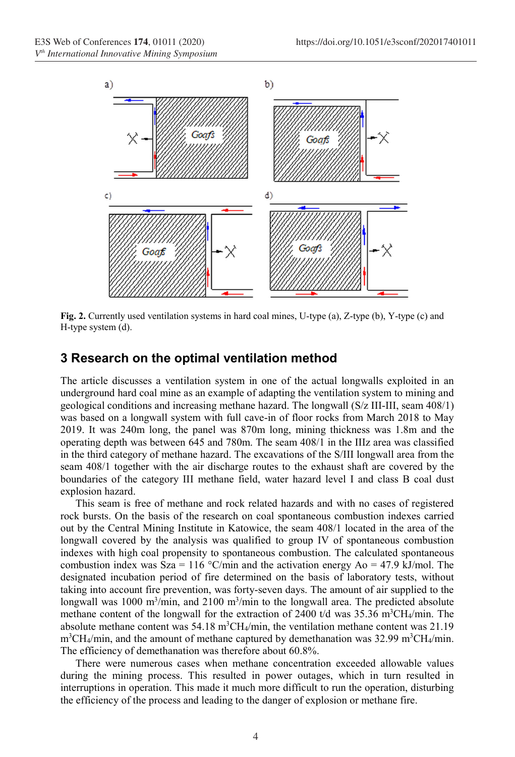

Fig. 2. Currently used ventilation systems in hard coal mines, U-type (a), Z-type (b), Y-type (c) and H-type system (d).

#### 3 Research on the optimal ventilation method

The article discusses a ventilation system in one of the actual longwalls exploited in an underground hard coal mine as an example of adapting the ventilation system to mining and geological conditions and increasing methane hazard. The longwall (S/z III-III, seam 408/1) was based on a longwall system with full cave-in of floor rocks from March 2018 to May 2019. It was 240m long, the panel was 870m long, mining thickness was 1.8m and the operating depth was between 645 and 780m. The seam 408/1 in the IIIz area was classified in the third category of methane hazard. The excavations of the S/III longwall area from the seam 408/1 together with the air discharge routes to the exhaust shaft are covered by the boundaries of the category III methane field, water hazard level I and class B coal dust explosion hazard.

This seam is free of methane and rock related hazards and with no cases of registered rock bursts. On the basis of the research on coal spontaneous combustion indexes carried out by the Central Mining Institute in Katowice, the seam 408/1 located in the area of the longwall covered by the analysis was qualified to group IV of spontaneous combustion indexes with high coal propensity to spontaneous combustion. The calculated spontaneous combustion index was Sza = 116 °C/min and the activation energy Ao = 47.9 kJ/mol. The designated incubation period of fire determined on the basis of laboratory tests, without taking into account fire prevention, was forty-seven days. The amount of air supplied to the longwall was 1000  $m^3/m$ in, and 2100  $m^3/m$ in to the longwall area. The predicted absolute methane content of the longwall for the extraction of 2400 t/d was  $35.36 \text{ m}^3\text{CH}_4/\text{min}$ . The absolute methane content was  $54.18 \text{ m}^3\text{CH}_4/\text{min}$ , the ventilation methane content was  $21.19$ m<sup>3</sup>CH<sub>4</sub>/min, and the amount of methane captured by demethanation was 32.99 m<sup>3</sup>CH<sub>4</sub>/min. The efficiency of demethanation was therefore about 60.8%.

There were numerous cases when methane concentration exceeded allowable values during the mining process. This resulted in power outages, which in turn resulted in interruptions in operation. This made it much more difficult to run the operation, disturbing the efficiency of the process and leading to the danger of explosion or methane fire.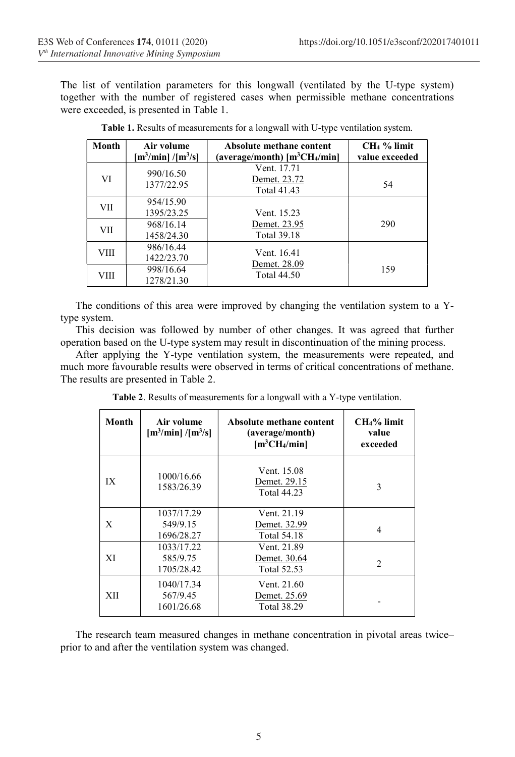The list of ventilation parameters for this longwall (ventilated by the U-type system) together with the number of registered cases when permissible methane concentrations were exceeded, is presented in Table 1.

| Month      | Air volume<br>$\left[\text{m}^3/\text{min}\right]/\left[\text{m}^3/\text{s}\right]$ | Absolute methane content<br>(average/month) $[m^3CH_4/min]$ | CH <sub>4</sub> % limit<br>value exceeded |
|------------|-------------------------------------------------------------------------------------|-------------------------------------------------------------|-------------------------------------------|
| VI         | 990/16.50<br>1377/22.95                                                             | Vent. 17.71<br>Demet. 23.72<br><b>Total 41.43</b>           | 54                                        |
| VII        | 954/15.90<br>1395/23.25                                                             | Vent. 15.23                                                 |                                           |
| <b>VII</b> | 968/16.14<br>1458/24.30                                                             | Demet. 23.95<br><b>Total 39.18</b>                          | 290                                       |
| VIII       | 986/16.44<br>1422/23.70                                                             | Vent. 16.41                                                 |                                           |
| VIII       | 998/16.64<br>1278/21.30                                                             | Demet. 28.09<br><b>Total 44.50</b>                          | 159                                       |

Table 1. Results of measurements for a longwall with U-type ventilation system.

The conditions of this area were improved by changing the ventilation system to a Ytype system.

This decision was followed by number of other changes. It was agreed that further operation based on the U-type system may result in discontinuation of the mining process.

After applying the Y-type ventilation system, the measurements were repeated, and much more favourable results were observed in terms of critical concentrations of methane. The results are presented in Table 2.

Table 2. Results of measurements for a longwall with a Y-type ventilation.

| Month | Air volume<br>$\left[\text{m}^3/\text{min}\right]/\left[\text{m}^3/\text{s}\right]$ | Absolute methane content<br>(average/month)<br>[m <sup>3</sup> CH <sub>4</sub> /min] | $CH4%$ limit<br>value<br>exceeded |
|-------|-------------------------------------------------------------------------------------|--------------------------------------------------------------------------------------|-----------------------------------|
| IX    | 1000/16.66<br>1583/26.39                                                            | Vent. 15.08<br>Demet. 29.15<br><b>Total 44.23</b>                                    | 3                                 |
| X     | 1037/17.29<br>549/9.15<br>1696/28.27                                                | Vent. 21.19<br>Demet. 32.99<br><b>Total 54.18</b>                                    | 4                                 |
| XI    | 1033/17.22<br>585/9.75<br>1705/28.42                                                | Vent. 21.89<br>Demet. 30.64<br>Total 52.53                                           | $\overline{c}$                    |
| XII   | 1040/17.34<br>567/9.45<br>1601/26.68                                                | Vent. 21.60<br>Demet. 25.69<br><b>Total 38.29</b>                                    |                                   |

The research team measured changes in methane concentration in pivotal areas twice– prior to and after the ventilation system was changed.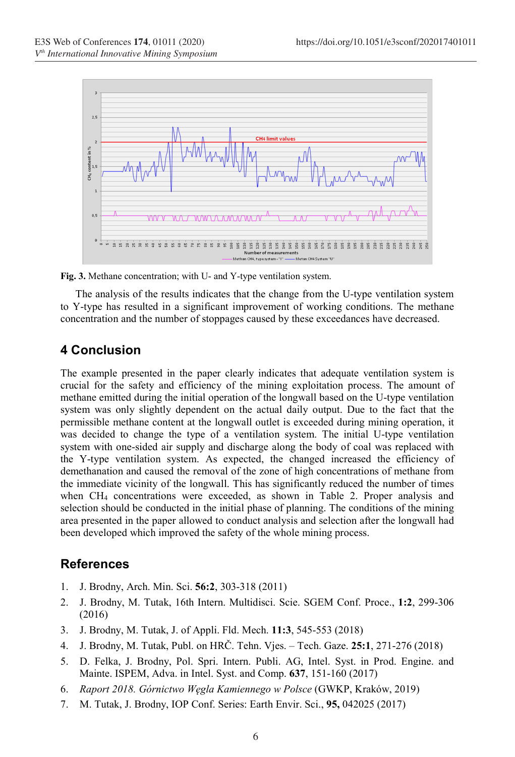

Fig. 3. Methane concentration; with U- and Y-type ventilation system.

The analysis of the results indicates that the change from the U-type ventilation system to Y-type has resulted in a significant improvement of working conditions. The methane concentration and the number of stoppages caused by these exceedances have decreased.

## 4 Conclusion

The example presented in the paper clearly indicates that adequate ventilation system is crucial for the safety and efficiency of the mining exploitation process. The amount of methane emitted during the initial operation of the longwall based on the U-type ventilation system was only slightly dependent on the actual daily output. Due to the fact that the permissible methane content at the longwall outlet is exceeded during mining operation, it was decided to change the type of a ventilation system. The initial U-type ventilation system with one-sided air supply and discharge along the body of coal was replaced with the Y-type ventilation system. As expected, the changed increased the efficiency of demethanation and caused the removal of the zone of high concentrations of methane from the immediate vicinity of the longwall. This has significantly reduced the number of times when CH4 concentrations were exceeded, as shown in Table 2. Proper analysis and selection should be conducted in the initial phase of planning. The conditions of the mining area presented in the paper allowed to conduct analysis and selection after the longwall had been developed which improved the safety of the whole mining process.

### **References**

- 1. J. Brodny, Arch. Min. Sci. 56:2, 303-318 (2011)
- 2. J. Brodny, M. Tutak, 16th Intern. Multidisci. Scie. SGEM Conf. Proce., 1:2, 299-306 (2016)
- 3. J. Brodny, M. Tutak, J. of Appli. Fld. Mech. 11:3, 545-553 (2018)
- 4. J. Brodny, M. Tutak, Publ. on HRČ. Tehn. Vjes. Tech. Gaze. 25:1, 271-276 (2018)
- 5. D. Felka, J. Brodny, Pol. Spri. Intern. Publi. AG, Intel. Syst. in Prod. Engine. and Mainte. ISPEM, Adva. in Intel. Syst. and Comp. 637, 151-160 (2017)
- 6. Raport 2018. Górnictwo Węgla Kamiennego w Polsce (GWKP, Kraków, 2019)
- 7. M. Tutak, J. Brodny, IOP Conf. Series: Earth Envir. Sci., 95, 042025 (2017)